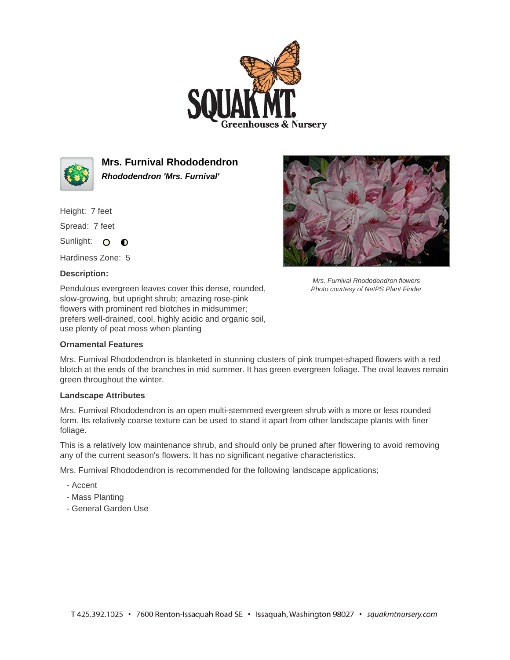



**Mrs. Furnival Rhododendron Rhododendron 'Mrs. Furnival'**

Height: 7 feet

Spread: 7 feet

Sunlight: O **O** 

Hardiness Zone: 5

## **Description:**

Pendulous evergreen leaves cover this dense, rounded, slow-growing, but upright shrub; amazing rose-pink flowers with prominent red blotches in midsummer; prefers well-drained, cool, highly acidic and organic soil, use plenty of peat moss when planting

## **Ornamental Features**



Mrs. Furnival Rhododendron flowers Photo courtesy of NetPS Plant Finder

Mrs. Furnival Rhododendron is blanketed in stunning clusters of pink trumpet-shaped flowers with a red blotch at the ends of the branches in mid summer. It has green evergreen foliage. The oval leaves remain green throughout the winter.

## **Landscape Attributes**

Mrs. Furnival Rhododendron is an open multi-stemmed evergreen shrub with a more or less rounded form. Its relatively coarse texture can be used to stand it apart from other landscape plants with finer foliage.

This is a relatively low maintenance shrub, and should only be pruned after flowering to avoid removing any of the current season's flowers. It has no significant negative characteristics.

Mrs. Furnival Rhododendron is recommended for the following landscape applications;

- Accent
- Mass Planting
- General Garden Use